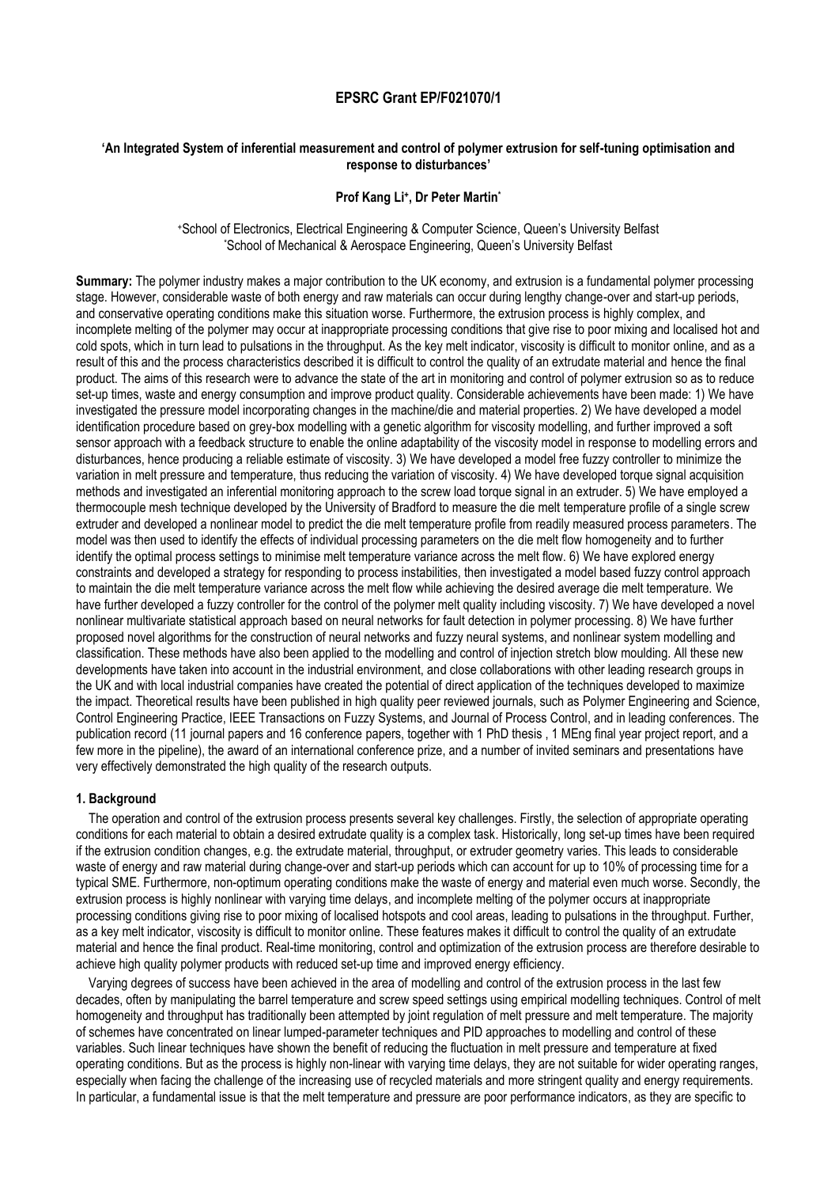# **EPSRC Grant EP/F021070/1**

## **'An Integrated System of inferential measurement and control of polymer extrusion for self-tuning optimisation and response to disturbances'**

### **Prof Kang Li<sup>+</sup> , Dr Peter Martin\***

<sup>+</sup>School of Electronics, Electrical Engineering & Computer Science, Queen's University Belfast \*School of Mechanical & Aerospace Engineering, Queen's University Belfast

**Summary:** The polymer industry makes a major contribution to the UK economy, and extrusion is a fundamental polymer processing stage. However, considerable waste of both energy and raw materials can occur during lengthy change-over and start-up periods, and conservative operating conditions make this situation worse. Furthermore, the extrusion process is highly complex, and incomplete melting of the polymer may occur at inappropriate processing conditions that give rise to poor mixing and localised hot and cold spots, which in turn lead to pulsations in the throughput. As the key melt indicator, viscosity is difficult to monitor online, and as a result of this and the process characteristics described it is difficult to control the quality of an extrudate material and hence the final product. The aims of this research were to advance the state of the art in monitoring and control of polymer extrusion so as to reduce set-up times, waste and energy consumption and improve product quality. Considerable achievements have been made: 1) We have investigated the pressure model incorporating changes in the machine/die and material properties. 2) We have developed a model identification procedure based on grey-box modelling with a genetic algorithm for viscosity modelling, and further improved a soft sensor approach with a feedback structure to enable the online adaptability of the viscosity model in response to modelling errors and disturbances, hence producing a reliable estimate of viscosity. 3) We have developed a model free fuzzy controller to minimize the variation in melt pressure and temperature, thus reducing the variation of viscosity. 4) We have developed torque signal acquisition methods and investigated an inferential monitoring approach to the screw load torque signal in an extruder. 5) We have employed a thermocouple mesh technique developed by the University of Bradford to measure the die melt temperature profile of a single screw extruder and developed a nonlinear model to predict the die melt temperature profile from readily measured process parameters. The model was then used to identify the effects of individual processing parameters on the die melt flow homogeneity and to further identify the optimal process settings to minimise melt temperature variance across the melt flow. 6) We have explored energy constraints and developed a strategy for responding to process instabilities, then investigated a model based fuzzy control approach to maintain the die melt temperature variance across the melt flow while achieving the desired average die melt temperature. We have further developed a fuzzy controller for the control of the polymer melt quality including viscosity. 7) We have developed a novel nonlinear multivariate statistical approach based on neural networks for fault detection in polymer processing. 8) We have further proposed novel algorithms for the construction of neural networks and fuzzy neural systems, and nonlinear system modelling and classification. These methods have also been applied to the modelling and control of injection stretch blow moulding. All these new developments have taken into account in the industrial environment, and close collaborations with other leading research groups in the UK and with local industrial companies have created the potential of direct application of the techniques developed to maximize the impact. Theoretical results have been published in high quality peer reviewed journals, such as Polymer Engineering and Science, Control Engineering Practice, IEEE Transactions on Fuzzy Systems, and Journal of Process Control, and in leading conferences. The publication record (11 journal papers and 16 conference papers, together with 1 PhD thesis , 1 MEng final year project report, and a few more in the pipeline), the award of an international conference prize, and a number of invited seminars and presentations have very effectively demonstrated the high quality of the research outputs.

### **1. Background**

The operation and control of the extrusion process presents several key challenges. Firstly, the selection of appropriate operating conditions for each material to obtain a desired extrudate quality is a complex task. Historically, long set-up times have been required if the extrusion condition changes, e.g. the extrudate material, throughput, or extruder geometry varies. This leads to considerable waste of energy and raw material during change-over and start-up periods which can account for up to 10% of processing time for a typical SME. Furthermore, non-optimum operating conditions make the waste of energy and material even much worse. Secondly, the extrusion process is highly nonlinear with varying time delays, and incomplete melting of the polymer occurs at inappropriate processing conditions giving rise to poor mixing of localised hotspots and cool areas, leading to pulsations in the throughput. Further, as a key melt indicator, viscosity is difficult to monitor online. These features makes it difficult to control the quality of an extrudate material and hence the final product. Real-time monitoring, control and optimization of the extrusion process are therefore desirable to achieve high quality polymer products with reduced set-up time and improved energy efficiency.

Varying degrees of success have been achieved in the area of modelling and control of the extrusion process in the last few decades, often by manipulating the barrel temperature and screw speed settings using empirical modelling techniques. Control of melt homogeneity and throughput has traditionally been attempted by joint regulation of melt pressure and melt temperature. The majority of schemes have concentrated on linear lumped-parameter techniques and PID approaches to modelling and control of these variables. Such linear techniques have shown the benefit of reducing the fluctuation in melt pressure and temperature at fixed operating conditions. But as the process is highly non-linear with varying time delays, they are not suitable for wider operating ranges, especially when facing the challenge of the increasing use of recycled materials and more stringent quality and energy requirements. In particular, a fundamental issue is that the melt temperature and pressure are poor performance indicators, as they are specific to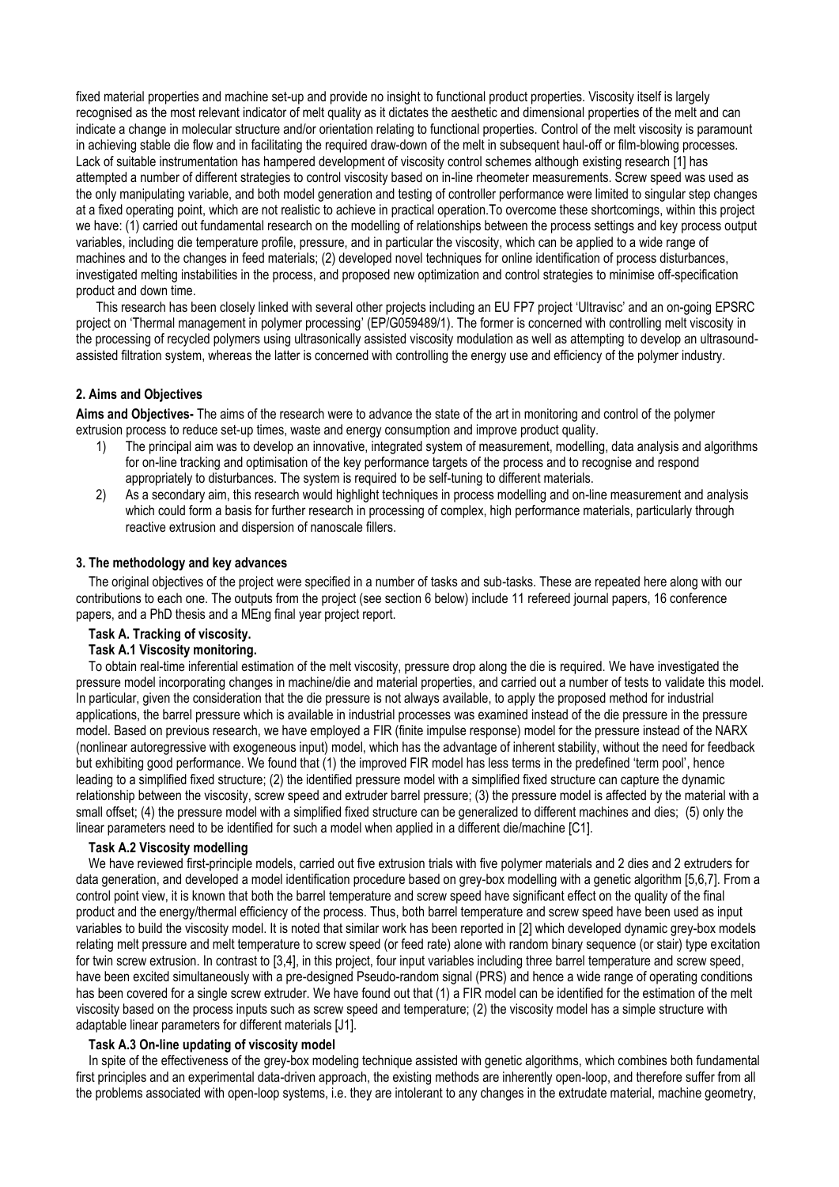fixed material properties and machine set-up and provide no insight to functional product properties. Viscosity itself is largely recognised as the most relevant indicator of melt quality as it dictates the aesthetic and dimensional properties of the melt and can indicate a change in molecular structure and/or orientation relating to functional properties. Control of the melt viscosity is paramount in achieving stable die flow and in facilitating the required draw-down of the melt in subsequent haul-off or film-blowing processes. Lack of suitable instrumentation has hampered development of viscosity control schemes although existing research [\[1\]](#page-6-0) has attempted a number of different strategies to control viscosity based on in-line rheometer measurements. Screw speed was used as the only manipulating variable, and both model generation and testing of controller performance were limited to singular step changes at a fixed operating point, which are not realistic to achieve in practical operation.To overcome these shortcomings, within this project we have: (1) carried out fundamental research on the modelling of relationships between the process settings and key process output variables, including die temperature profile, pressure, and in particular the viscosity, which can be applied to a wide range of machines and to the changes in feed materials; (2) developed novel techniques for online identification of process disturbances, investigated melting instabilities in the process, and proposed new optimization and control strategies to minimise off-specification product and down time.

This research has been closely linked with several other projects including an EU FP7 project 'Ultravisc' and an on-going EPSRC project on 'Thermal management in polymer processing' (EP/G059489/1). The former is concerned with controlling melt viscosity in the processing of recycled polymers using ultrasonically assisted viscosity modulation as well as attempting to develop an ultrasoundassisted filtration system, whereas the latter is concerned with controlling the energy use and efficiency of the polymer industry.

# **2. Aims and Objectives**

**Aims and Objectives-** The aims of the research were to advance the state of the art in monitoring and control of the polymer extrusion process to reduce set-up times, waste and energy consumption and improve product quality.

- 1) The principal aim was to develop an innovative, integrated system of measurement, modelling, data analysis and algorithms for on-line tracking and optimisation of the key performance targets of the process and to recognise and respond appropriately to disturbances. The system is required to be self-tuning to different materials.
- 2) As a secondary aim, this research would highlight techniques in process modelling and on-line measurement and analysis which could form a basis for further research in processing of complex, high performance materials, particularly through reactive extrusion and dispersion of nanoscale fillers.

### **3. The methodology and key advances**

The original objectives of the project were specified in a number of tasks and sub-tasks. These are repeated here along with our contributions to each one. The outputs from the project (see section 6 below) include 11 refereed journal papers, 16 conference papers, and a PhD thesis and a MEng final year project report.

## **Task A. Tracking of viscosity.**

## **Task A.1 Viscosity monitoring.**

To obtain real-time inferential estimation of the melt viscosity, pressure drop along the die is required. We have investigated the pressure model incorporating changes in machine/die and material properties, and carried out a number of tests to validate this model. In particular, given the consideration that the die pressure is not always available, to apply the proposed method for industrial applications, the barrel pressure which is available in industrial processes was examined instead of the die pressure in the pressure model. Based on previous research, we have employed a FIR (finite impulse response) model for the pressure instead of the NARX (nonlinear autoregressive with exogeneous input) model, which has the advantage of inherent stability, without the need for feedback but exhibiting good performance. We found that (1) the improved FIR model has less terms in the predefined 'term pool', hence leading to a simplified fixed structure; (2) the identified pressure model with a simplified fixed structure can capture the dynamic relationship between the viscosity, screw speed and extruder barrel pressure; (3) the pressure model is affected by the material with a small offset; (4) the pressure model with a simplified fixed structure can be generalized to different machines and dies; (5) only the linear parameters need to be identified for such a model when applied in a different die/machine [\[C1\].](#page-6-1)

### **Task A.2 Viscosity modelling**

We have reviewed first-principle models, carried out five extrusion trials with five polymer materials and 2 dies and 2 extruders for data generation, and developed a model identification procedure based on grey-box modelling with a genetic algorithm [\[5](#page-6-2)[,6](#page-6-3)[,7\]](#page-6-4). From a control point view, it is known that both the barrel temperature and screw speed have significant effect on the quality of the final product and the energy/thermal efficiency of the process. Thus, both barrel temperature and screw speed have been used as input variables to build the viscosity model. It is noted that similar work has been reported in [\[2\]](#page-6-5) which developed dynamic grey-box models relating melt pressure and melt temperature to screw speed (or feed rate) alone with random binary sequence (or stair) type excitation for twin screw extrusion. In contrast to [\[3,](#page-6-6)[4\],](#page-6-7) in this project, four input variables including three barrel temperature and screw speed, have been excited simultaneously with a pre-designed Pseudo-random signal (PRS) and hence a wide range of operating conditions has been covered for a single screw extruder. We have found out that (1) a FIR model can be identified for the estimation of the melt viscosity based on the process inputs such as screw speed and temperature; (2) the viscosity model has a simple structure with adaptable linear parameters for different materials [\[J1\].](#page-5-0)

### **Task A.3 On-line updating of viscosity model**

In spite of the effectiveness of the grey-box modeling technique assisted with genetic algorithms, which combines both fundamental first principles and an experimental data-driven approach, the existing methods are inherently open-loop, and therefore suffer from all the problems associated with open-loop systems, i.e. they are intolerant to any changes in the extrudate material, machine geometry,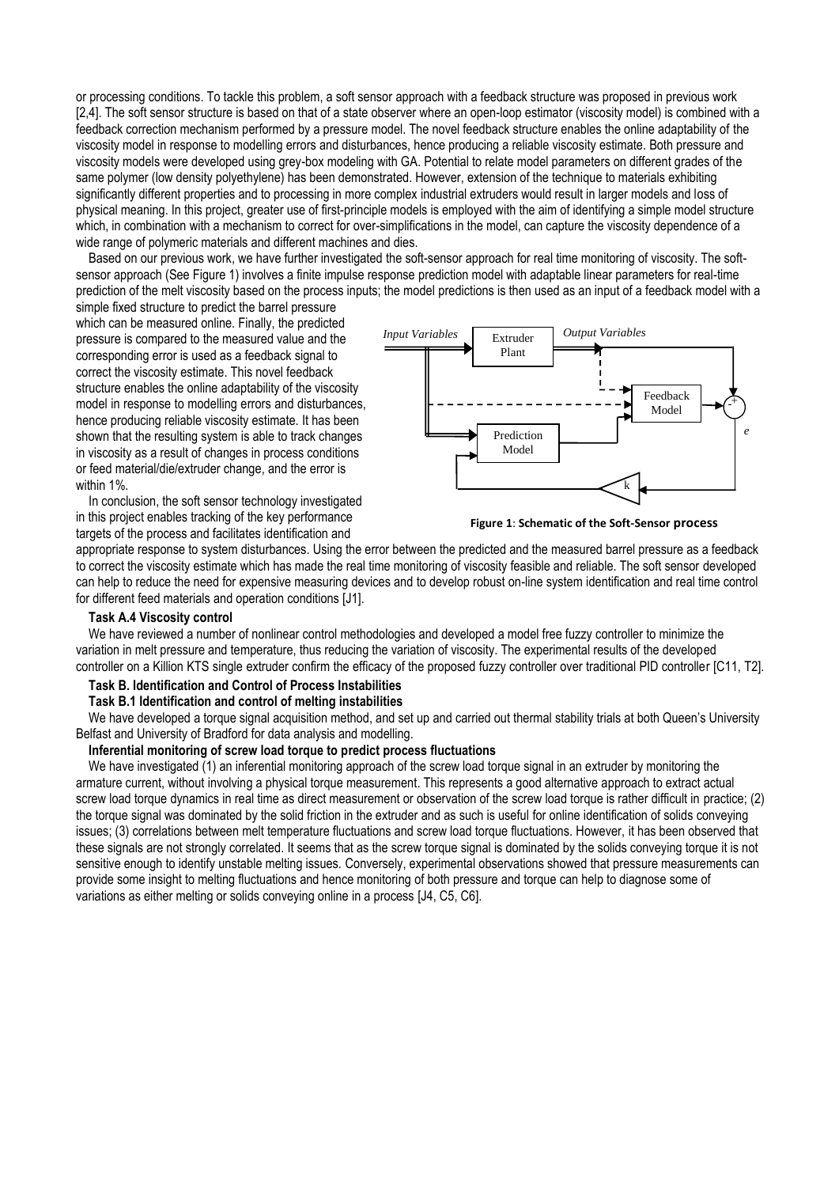or processing conditions. To tackle this problem, a soft sensor approach with a feedback structure was proposed in previous work [\[2,](#page-6-5)[4\].](#page-6-7) The soft sensor structure is based on that of a state observer where an open-loop estimator (viscosity model) is combined with a feedback correction mechanism performed by a pressure model. The novel feedback structure enables the online adaptability of the viscosity model in response to modelling errors and disturbances, hence producing a reliable viscosity estimate. Both pressure and viscosity models were developed using grey-box modeling with GA. Potential to relate model parameters on different grades of the same polymer (low density polyethylene) has been demonstrated. However, extension of the technique to materials exhibiting significantly different properties and to processing in more complex industrial extruders would result in larger models and loss of physical meaning. In this project, greater use of first-principle models is employed with the aim of identifying a simple model structure which, in combination with a mechanism to correct for over-simplifications in the model, can capture the viscosity dependence of a wide range of polymeric materials and different machines and dies.

Based on our previous work, we have further investigated the soft-sensor approach for real time monitoring of viscosity. The softsensor approach (See Figure 1) involves a finite impulse response prediction model with adaptable linear parameters for real-time prediction of the melt viscosity based on the process inputs; the model predictions is then used as an input of a feedback model with a

simple fixed structure to predict the barrel pressure which can be measured online. Finally, the predicted pressure is compared to the measured value and the corresponding error is used as a feedback signal to correct the viscosity estimate. This novel feedback structure enables the online adaptability of the viscosity model in response to modelling errors and disturbances, hence producing reliable viscosity estimate. It has been shown that the resulting system is able to track changes in viscosity as a result of changes in process conditions or feed material/die/extruder change, and the error is within 1%.

In conclusion, the soft sensor technology investigated in this project enables tracking of the key performance targets of the process and facilitates identification and



**Figure 1**: **Schematic of the Soft-Sensor process** 

appropriate response to system disturbances. Using the error between the predicted and the measured barrel pressure as a feedback to correct the viscosity estimate which has made the real time monitoring of viscosity feasible and reliable. The soft sensor developed can help to reduce the need for expensive measuring devices and to develop robust on-line system identification and real time control for different feed materials and operation conditions [\[J1\]](#page-5-0).

### **Task A.4 Viscosity control**

We have reviewed a number of nonlinear control methodologies and developed a model free fuzzy controller to minimize the variation in melt pressure and temperature, thus reducing the variation of viscosity. The experimental results of the developed controller on a Killion KTS single extruder confirm the efficacy of the proposed fuzzy controller over traditional PID controller [C11, T2].

# **Task B. Identification and Control of Process Instabilities**

# **Task B.1 Identification and control of melting instabilities**

We have developed a torque signal acquisition method, and set up and carried out thermal stability trials at both Queen's University Belfast and University of Bradford for data analysis and modelling.

### **Inferential monitoring of screw load torque to predict process fluctuations**

We have investigated (1) an inferential monitoring approach of the screw load torque signal in an extruder by monitoring the armature current, without involving a physical torque measurement. This represents a good alternative approach to extract actual screw load torque dynamics in real time as direct measurement or observation of the screw load torque is rather difficult in practice; (2) the torque signal was dominated by the solid friction in the extruder and as such is useful for online identification of solids conveying issues; (3) correlations between melt temperature fluctuations and screw load torque fluctuations. However, it has been observed that these signals are not strongly correlated. It seems that as the screw torque signal is dominated by the solids conveying torque it is not sensitive enough to identify unstable melting issues. Conversely, experimental observations showed that pressure measurements can provide some insight to melting fluctuations and hence monitoring of both pressure and torque can help to diagnose some of variations as either melting or solids conveying online in a process [\[J4,](#page-5-1) [C5,](#page-6-8) [C6\].](#page-6-9)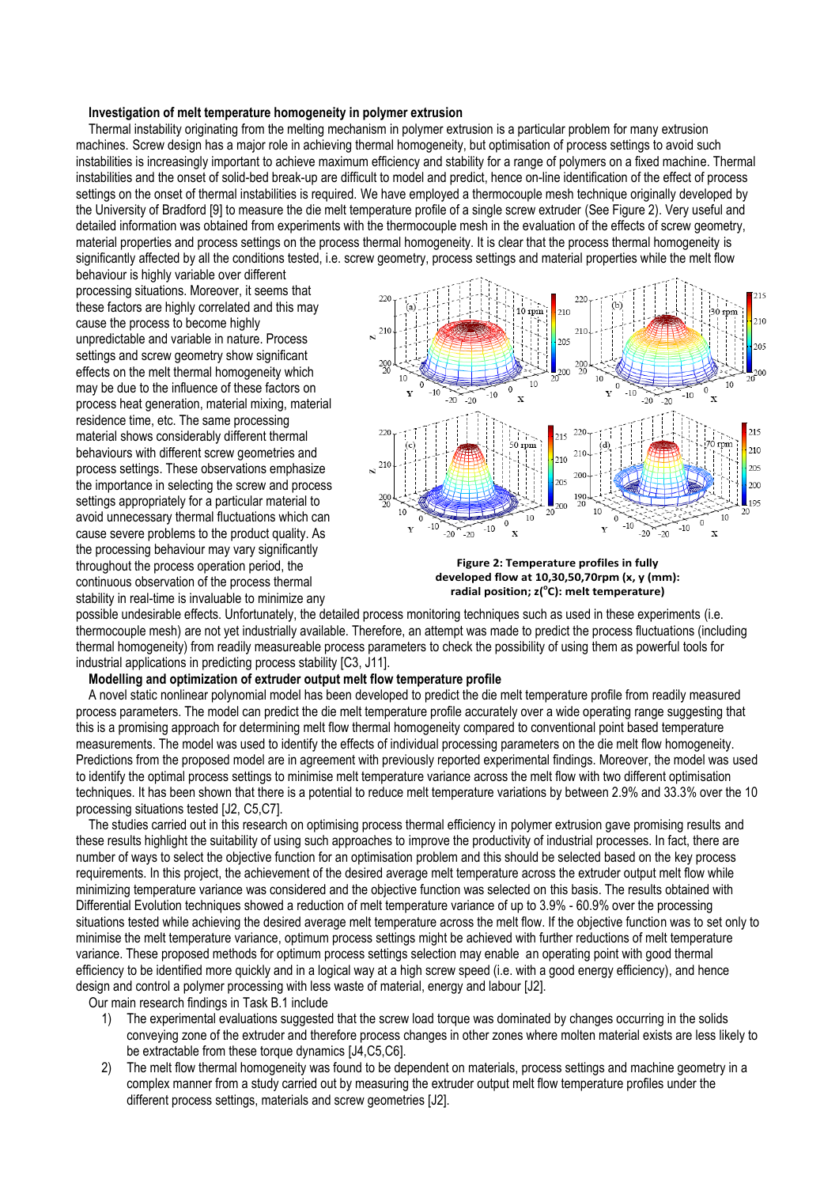#### **Investigation of melt temperature homogeneity in polymer extrusion**

Thermal instability originating from the melting mechanism in polymer extrusion is a particular problem for many extrusion machines. Screw design has a major role in achieving thermal homogeneity, but optimisation of process settings to avoid such instabilities is increasingly important to achieve maximum efficiency and stability for a range of polymers on a fixed machine. Thermal instabilities and the onset of solid-bed break-up are difficult to model and predict, hence on-line identification of the effect of process settings on the onset of thermal instabilities is required. We have employed a thermocouple mesh technique originally developed by the University of Bradford [\[9\]](#page-6-10) to measure the die melt temperature profile of a single screw extruder (See Figure 2). Very useful and detailed information was obtained from experiments with the thermocouple mesh in the evaluation of the effects of screw geometry, material properties and process settings on the process thermal homogeneity. It is clear that the process thermal homogeneity is significantly affected by all the conditions tested, i.e. screw geometry, process settings and material properties while the melt flow

behaviour is highly variable over different processing situations. Moreover, it seems that these factors are highly correlated and this may cause the process to become highly unpredictable and variable in nature. Process settings and screw geometry show significant effects on the melt thermal homogeneity which may be due to the influence of these factors on process heat generation, material mixing, material residence time, etc. The same processing material shows considerably different thermal behaviours with different screw geometries and process settings. These observations emphasize the importance in selecting the screw and process settings appropriately for a particular material to avoid unnecessary thermal fluctuations which can cause severe problems to the product quality. As the processing behaviour may vary significantly throughout the process operation period, the continuous observation of the process thermal stability in real-time is invaluable to minimize any



**Figure 2: Temperature profiles in fully developed flow at 10,30,50,70rpm (x, y (mm): radial position; z( <sup>o</sup>C): melt temperature)**

possible undesirable effects. Unfortunately, the detailed process monitoring techniques such as used in these experiments (i.e. thermocouple mesh) are not yet industrially available. Therefore, an attempt was made to predict the process fluctuations (including thermal homogeneity) from readily measureable process parameters to check the possibility of using them as powerful tools for industrial applications in predicting process stability [\[C3,](#page-6-11) [J11\].](#page-5-2)

## **Modelling and optimization of extruder output melt flow temperature profile**

A novel static nonlinear polynomial model has been developed to predict the die melt temperature profile from readily measured process parameters. The model can predict the die melt temperature profile accurately over a wide operating range suggesting that this is a promising approach for determining melt flow thermal homogeneity compared to conventional point based temperature measurements. The model was used to identify the effects of individual processing parameters on the die melt flow homogeneity. Predictions from the proposed model are in agreement with previously reported experimental findings. Moreover, the model was used to identify the optimal process settings to minimise melt temperature variance across the melt flow with two different optimisation techniques. It has been shown that there is a potential to reduce melt temperature variations by between 2.9% and 33.3% over the 10 processing situations tested [\[J2,](#page-5-3) C5[,C7\]](#page-6-12).

The studies carried out in this research on optimising process thermal efficiency in polymer extrusion gave promising results and these results highlight the suitability of using such approaches to improve the productivity of industrial processes. In fact, there are number of ways to select the objective function for an optimisation problem and this should be selected based on the key process requirements. In this project, the achievement of the desired average melt temperature across the extruder output melt flow while minimizing temperature variance was considered and the objective function was selected on this basis. The results obtained with Differential Evolution techniques showed a reduction of melt temperature variance of up to 3.9% - 60.9% over the processing situations tested while achieving the desired average melt temperature across the melt flow. If the objective function was to set only to minimise the melt temperature variance, optimum process settings might be achieved with further reductions of melt temperature variance. These proposed methods for optimum process settings selection may enable an operating point with good thermal efficiency to be identified more quickly and in a logical way at a high screw speed (i.e. with a good energy efficiency), and hence design and control a polymer processing with less waste of material, energy and labour [\[J2\]](#page-5-3).

Our main research findings in Task B.1 include

- 1) The experimental evaluations suggested that the screw load torque was dominated by changes occurring in the solids conveying zone of the extruder and therefore process changes in other zones where molten material exists are less likely to be extractable from these torque dynamics [\[J4](#page-5-1)[,C5](#page-6-8)[,C6\]](#page-6-9).
- 2) The melt flow thermal homogeneity was found to be dependent on materials, process settings and machine geometry in a complex manner from a study carried out by measuring the extruder output melt flow temperature profiles under the different process settings, materials and screw geometries [\[J2\].](#page-5-3)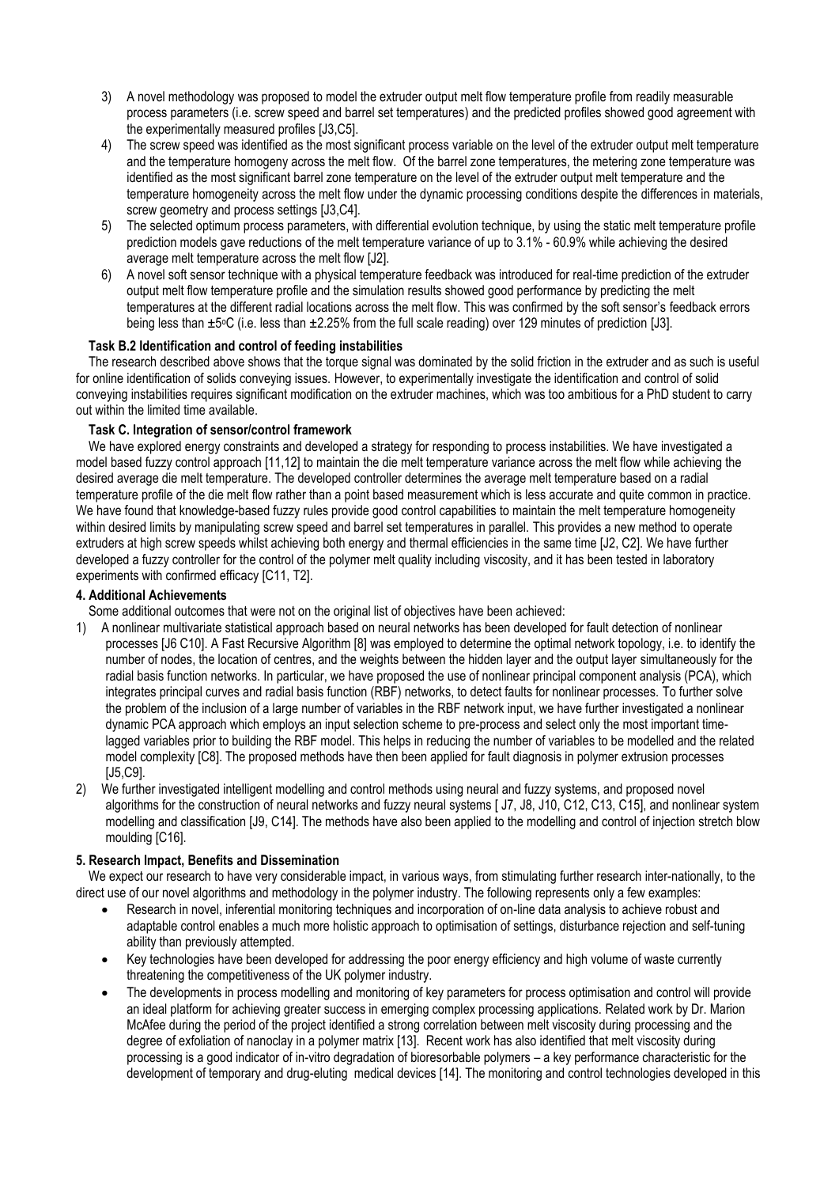- 3) A novel methodology was proposed to model the extruder output melt flow temperature profile from readily measurable process parameters (i.e. screw speed and barrel set temperatures) and the predicted profiles showed good agreement with the experimentally measured profiles [\[J3](#page-5-4)[,C5\]](#page-6-8).
- 4) The screw speed was identified as the most significant process variable on the level of the extruder output melt temperature and the temperature homogeny across the melt flow. Of the barrel zone temperatures, the metering zone temperature was identified as the most significant barrel zone temperature on the level of the extruder output melt temperature and the temperature homogeneity across the melt flow under the dynamic processing conditions despite the differences in materials, screw geometry and process settings [\[J3,](#page-5-4)[C4\].](#page-6-13)
- 5) The selected optimum process parameters, with differential evolution technique, by using the static melt temperature profile prediction models gave reductions of the melt temperature variance of up to 3.1% - 60.9% while achieving the desired average melt temperature across the melt flow [\[J2\]](#page-5-3).
- 6) A novel soft sensor technique with a physical temperature feedback was introduced for real-time prediction of the extruder output melt flow temperature profile and the simulation results showed good performance by predicting the melt temperatures at the different radial locations across the melt flow. This was confirmed by the soft sensor's feedback errors being less than ±5°C (i.e. less than ±2.25% from the full scale reading) over 129 minutes of prediction [\[J3\]](#page-5-4).

# **Task B.2 Identification and control of feeding instabilities**

The research described above shows that the torque signal was dominated by the solid friction in the extruder and as such is useful for online identification of solids conveying issues. However, to experimentally investigate the identification and control of solid conveying instabilities requires significant modification on the extruder machines, which was too ambitious for a PhD student to carry out within the limited time available.

# **Task C. Integration of sensor/control framework**

We have explored energy constraints and developed a strategy for responding to process instabilities. We have investigated a model based fuzzy control approach [\[11,](#page-7-0)[12\]](#page-7-1) to maintain the die melt temperature variance across the melt flow while achieving the desired average die melt temperature. The developed controller determines the average melt temperature based on a radial temperature profile of the die melt flow rather than a point based measurement which is less accurate and quite common in practice. We have found that knowledge-based fuzzy rules provide good control capabilities to maintain the melt temperature homogeneity within desired limits by manipulating screw speed and barrel set temperatures in parallel. This provides a new method to operate extruders at high screw speeds whilst achieving both energy and thermal efficiencies in the same time [J2[, C2\]](#page-6-14). We have further developed a fuzzy controller for the control of the polymer melt quality including viscosity, and it has been tested in laboratory experiments with confirmed efficacy [C11, T2].

# **4. Additional Achievements**

Some additional outcomes that were not on the original list of objectives have been achieved:

- 1) A nonlinear multivariate statistical approach based on neural networks has been developed for fault detection of nonlinear processes [\[J6](#page-5-5) C10]. A Fast Recursive Algorithm [\[8\]](#page-6-15) was employed to determine the optimal network topology, i.e. to identify the number of nodes, the location of centres, and the weights between the hidden layer and the output layer simultaneously for the radial basis function networks. In particular, we have proposed the use of nonlinear principal component analysis (PCA), which integrates principal curves and radial basis function (RBF) networks, to detect faults for nonlinear processes. To further solve the problem of the inclusion of a large number of variables in the RBF network input, we have further investigated a nonlinear dynamic PCA approach which employs an input selection scheme to pre-process and select only the most important timelagged variables prior to building the RBF model. This helps in reducing the number of variables to be modelled and the related model complexity [C8]. The proposed methods have then been applied for fault diagnosis in polymer extrusion processes [\[J5](#page-5-6)[,C9\].](#page-6-16)
- 2) We further investigated intelligent modelling and control methods using neural and fuzzy systems, and proposed novel algorithms for the construction of neural networks and fuzzy neural systems [ J7, J8, J10, C12, C13, C15], and nonlinear system modelling and classification [J9, C14]. The methods have also been applied to the modelling and control of injection stretch blow moulding [C16].

# **5. Research Impact, Benefits and Dissemination**

We expect our research to have very considerable impact, in various ways, from stimulating further research inter-nationally, to the direct use of our novel algorithms and methodology in the polymer industry. The following represents only a few examples:

- Research in novel, inferential monitoring techniques and incorporation of on-line data analysis to achieve robust and adaptable control enables a much more holistic approach to optimisation of settings, disturbance rejection and self-tuning ability than previously attempted.
- Key technologies have been developed for addressing the poor energy efficiency and high volume of waste currently threatening the competitiveness of the UK polymer industry.
- The developments in process modelling and monitoring of key parameters for process optimisation and control will provide an ideal platform for achieving greater success in emerging complex processing applications. Related work by Dr. Marion McAfee during the period of the project identified a strong correlation between melt viscosity during processing and the degree of exfoliation of nanoclay in a polymer matrix [13]. Recent work has also identified that melt viscosity during processing is a good indicator of in-vitro degradation of bioresorbable polymers – a key performance characteristic for the development of temporary and drug-eluting medical devices [14]. The monitoring and control technologies developed in this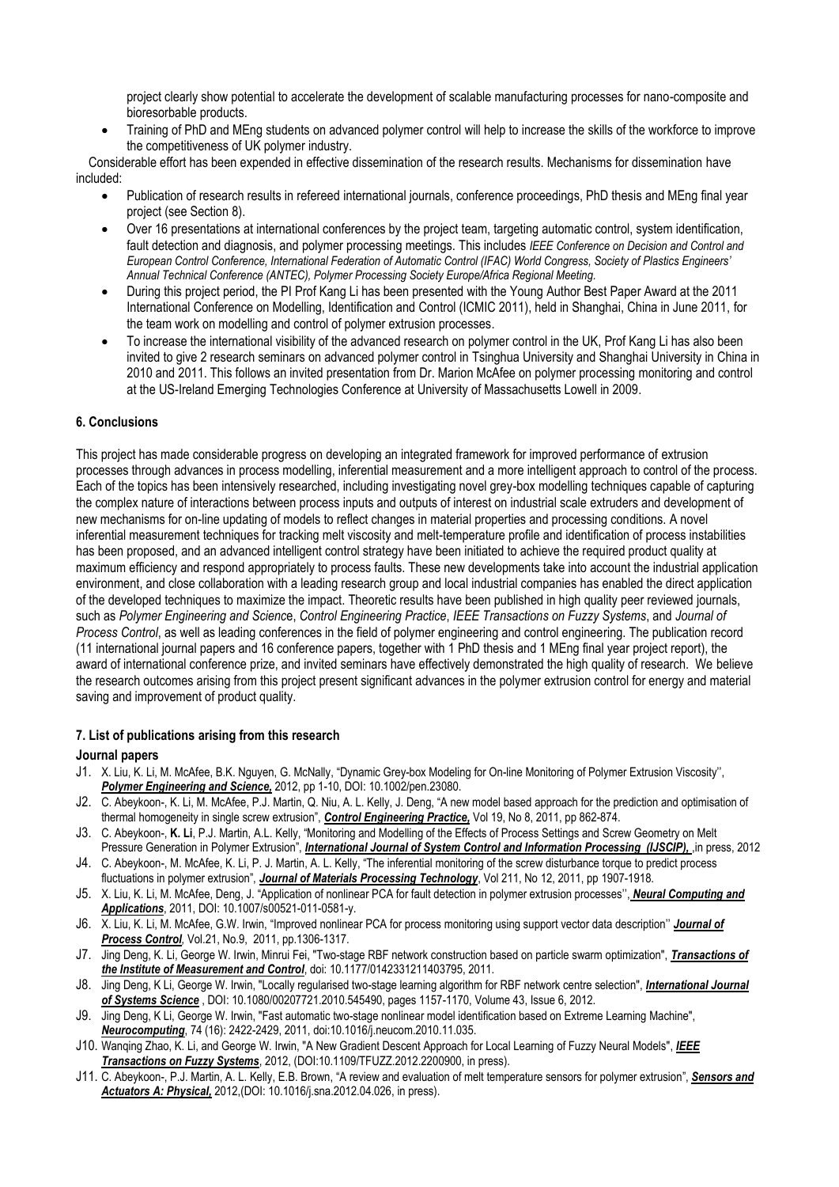project clearly show potential to accelerate the development of scalable manufacturing processes for nano-composite and bioresorbable products.

 Training of PhD and MEng students on advanced polymer control will help to increase the skills of the workforce to improve the competitiveness of UK polymer industry.

Considerable effort has been expended in effective dissemination of the research results. Mechanisms for dissemination have included:

- Publication of research results in refereed international journals, conference proceedings, PhD thesis and MEng final year project (see Section 8).
- Over 16 presentations at international conferences by the project team, targeting automatic control, system identification, fault detection and diagnosis, and polymer processing meetings. This includes *IEEE Conference on Decision and Control and European Control Conference, International Federation of Automatic Control (IFAC) World Congress, Society of Plastics Engineers' Annual Technical Conference (ANTEC), Polymer Processing Society Europe/Africa Regional Meeting.*
- During this project period, the PI Prof Kang Li has been presented with the Young Author Best Paper Award at the 2011 International Conference on Modelling, Identification and Control (ICMIC 2011), held in Shanghai, China in June 2011, for the team work on modelling and control of polymer extrusion processes.
- To increase the international visibility of the advanced research on polymer control in the UK, Prof Kang Li has also been invited to give 2 research seminars on advanced polymer control in Tsinghua University and Shanghai University in China in 2010 and 2011. This follows an invited presentation from Dr. Marion McAfee on polymer processing monitoring and control at the US-Ireland Emerging Technologies Conference at University of Massachusetts Lowell in 2009.

# **6. Conclusions**

This project has made considerable progress on developing an integrated framework for improved performance of extrusion processes through advances in process modelling, inferential measurement and a more intelligent approach to control of the process. Each of the topics has been intensively researched, including investigating novel grey-box modelling techniques capable of capturing the complex nature of interactions between process inputs and outputs of interest on industrial scale extruders and development of new mechanisms for on-line updating of models to reflect changes in material properties and processing conditions. A novel inferential measurement techniques for tracking melt viscosity and melt-temperature profile and identification of process instabilities has been proposed, and an advanced intelligent control strategy have been initiated to achieve the required product quality at maximum efficiency and respond appropriately to process faults. These new developments take into account the industrial application environment, and close collaboration with a leading research group and local industrial companies has enabled the direct application of the developed techniques to maximize the impact. Theoretic results have been published in high quality peer reviewed journals, such as *Polymer Engineering and Scienc*e, *Control Engineering Practice*, *IEEE Transactions on Fuzzy Systems*, and *Journal of Process Control*, as well as leading conferences in the field of polymer engineering and control engineering. The publication record (11 international journal papers and 16 conference papers, together with 1 PhD thesis and 1 MEng final year project report), the award of international conference prize, and invited seminars have effectively demonstrated the high quality of research. We believe the research outcomes arising from this project present significant advances in the polymer extrusion control for energy and material saving and improvement of product quality.

## **7. List of publications arising from this research**

## **Journal papers**

- <span id="page-5-0"></span>J1. X. Liu, K. Li, M. McAfee, B.K. Nguyen, G. McNally, "Dynamic Grey-box Modeling for On-line Monitoring of Polymer Extrusion Viscosity'', *Polymer Engineering and Science,* 2012, pp 1-10, DOI: 10.1002/pen.23080.
- <span id="page-5-3"></span>J2. C. Abeykoon-, K. Li, M. McAfee, P.J. Martin, Q. Niu, A. L. Kelly, J. Deng, "A new model based approach for the prediction and optimisation of thermal homogeneity in single screw extrusion", *Control Engineering Practice,* Vol 19, No 8, 2011, pp 862-874.
- <span id="page-5-4"></span>J3. C. Abeykoon-, **K. Li**, P.J. Martin, A.L. Kelly, "Monitoring and Modelling of the Effects of Process Settings and Screw Geometry on Melt Pressure Generation in Polymer Extrusion", *International Journal of System Control and Information Processing (IJSCIP)*, in press, 2012
- <span id="page-5-1"></span>J4. C. Abeykoon-, M. McAfee, K. Li, P. J. Martin, A. L. Kelly, "The inferential monitoring of the screw disturbance torque to predict process fluctuations in polymer extrusion", *Journal of Materials Processing Technology*, Vol 211, No 12, 2011, pp 1907-1918.
- <span id="page-5-6"></span>J5. X. Liu, K. Li, M. McAfee, Deng, J. "Application of nonlinear PCA for fault detection in polymer extrusion processes'', *Neural Computing and Applications*, 2011, DOI: 10.1007/s00521-011-0581-y.
- <span id="page-5-5"></span>J6. X. Liu, K. Li, M. McAfee, G.W. Irwin, "Improved nonlinear PCA for process monitoring using support vector data description'' *Journal of Process Control,* Vol.21, No.9, 2011, pp.1306-1317.
- J7. Jing Deng, K. Li, George W. Irwin, Minrui Fei, "Two-stage RBF network construction based on particle swarm optimization", *Transactions of the Institute of Measurement and Control*, doi: 10.1177/0142331211403795, 2011.
- J8. Jing Deng, K Li, George W. Irwin, "Locally regularised two-stage learning algorithm for RBF network centre selection", *International Journal of Systems Science* , DOI: 10.1080/00207721.2010.545490, pages 1157-1170, Volume 43, Issue 6, 2012.
- J9. Jing Deng, K Li, George W. Irwin, "Fast automatic two-stage nonlinear model identification based on Extreme Learning Machine", *Neurocomputing*, 74 (16): 2422-2429, 2011, doi:10.1016/j.neucom.2010.11.035.
- J10. Wanqing Zhao, K. Li, and George W. Irwin, "A New Gradient Descent Approach for Local Learning of Fuzzy Neural Models", *IEEE Transactions on Fuzzy Systems*, 2012, (DOI:10.1109/TFUZZ.2012.2200900, in press).
- <span id="page-5-2"></span>J11. C. Abeykoon-, P.J. Martin, A. L. Kelly, E.B. Brown, "A review and evaluation of melt temperature sensors for polymer extrusion", *Sensors and Actuators A: Physical,* 2012,(DOI: 10.1016/j.sna.2012.04.026, in press).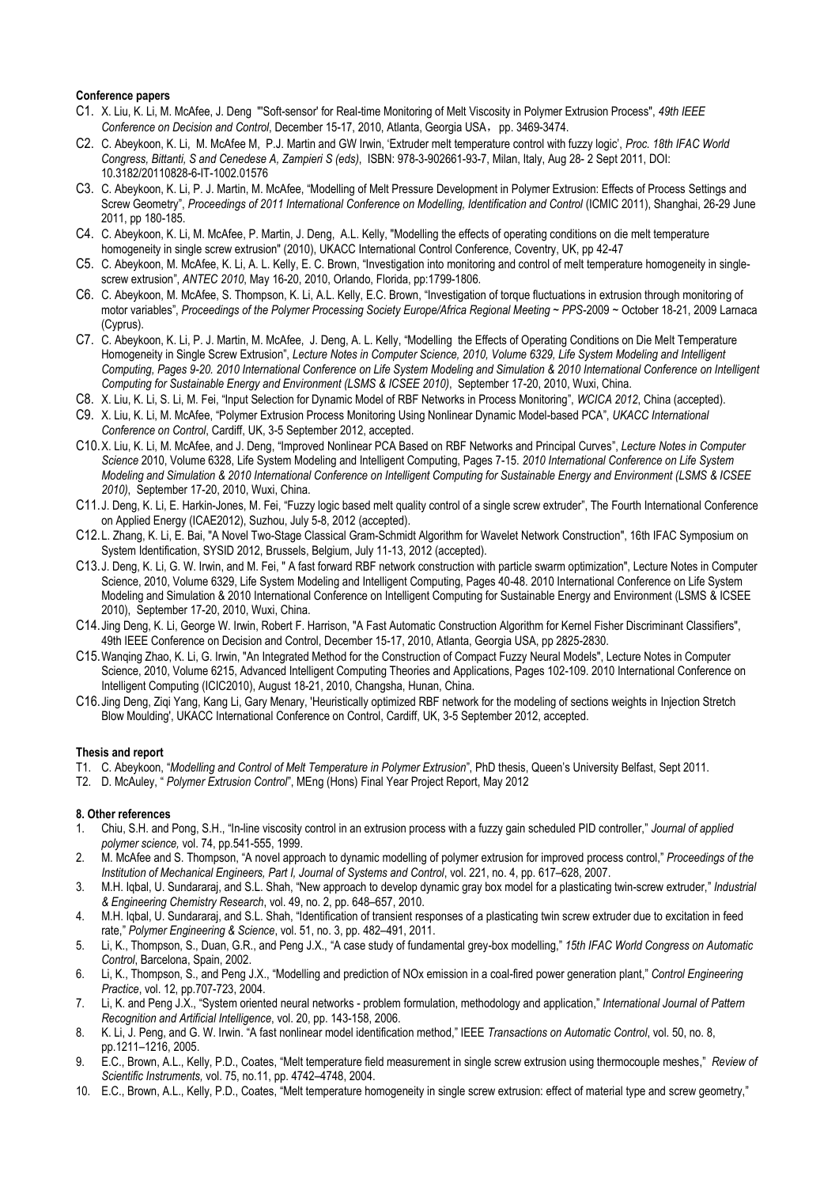### **Conference papers**

- <span id="page-6-1"></span>C1. X. Liu, K. Li, M. McAfee, J. Deng "'Soft-sensor' for Real-time Monitoring of Melt Viscosity in Polymer Extrusion Process", *49th IEEE Conference on Decision and Control, December 15-17, 2010, Atlanta, Georgia USA, pp. 3469-3474.*
- <span id="page-6-14"></span>C2. C. Abeykoon, K. Li, M. McAfee M, P.J. Martin and GW Irwin, 'Extruder melt temperature control with fuzzy logic', *Proc. 18th IFAC World Congress, Bittanti, S and Cenedese A, Zampieri S (eds)*, ISBN: 978-3-902661-93-7, Milan, Italy, Aug 28- 2 Sept 2011, DOI: 10.3182/20110828-6-IT-1002.01576
- <span id="page-6-11"></span>C3. C. Abeykoon, K. Li, P. J. Martin, M. McAfee, "Modelling of Melt Pressure Development in Polymer Extrusion: Effects of Process Settings and Screw Geometry", Proceedings of 2011 International Conference on Modelling, Identification and Control (ICMIC 2011), Shanghai, 26-29 June 2011, pp 180-185.
- <span id="page-6-13"></span>C4. C. Abeykoon, K. Li, M. McAfee, P. Martin, J. Deng, A.L. Kelly, "Modelling the effects of operating conditions on die melt temperature homogeneity in single screw extrusion" (2010), UKACC International Control Conference, Coventry, UK, pp 42-47
- <span id="page-6-8"></span>C5. C. Abeykoon, M. McAfee, K. Li, A. L. Kelly, E. C. Brown, "Investigation into monitoring and control of melt temperature homogeneity in singlescrew extrusion", *ANTEC 2010*, May 16-20, 2010, Orlando, Florida, pp:1799-1806.
- <span id="page-6-9"></span>C6. C. Abeykoon, M. McAfee, S. Thompson, K. Li, A.L. Kelly, E.C. Brown, "Investigation of torque fluctuations in extrusion through monitoring of motor variables", *Proceedings of the Polymer Processing Society Europe/Africa Regional Meeting ~ PPS*-2009 ~ October 18-21, 2009 Larnaca (Cyprus).
- <span id="page-6-12"></span>C7. C. Abeykoon, K. Li, P. J. Martin, M. McAfee, J. Deng, A. L. Kelly, "Modelling the Effects of Operating Conditions on Die Melt Temperature Homogeneity in Single Screw Extrusion", *Lecture Notes in Computer Science, 2010, Volume 6329, Life System Modeling and Intelligent Computing, Pages 9-20. 2010 International Conference on Life System Modeling and Simulation & 2010 International Conference on Intelligent Computing for Sustainable Energy and Environment (LSMS & ICSEE 2010)*, September 17-20, 2010, Wuxi, China.
- C8. X. Liu, K. Li, S. Li, M. Fei, "Input Selection for Dynamic Model of RBF Networks in Process Monitoring", *WCICA 2012*, China (accepted).
- <span id="page-6-16"></span>C9. X. Liu, K. Li, M. McAfee, "Polymer Extrusion Process Monitoring Using Nonlinear Dynamic Model-based PCA", *UKACC International Conference on Control*, Cardiff, UK, 3-5 September 2012, accepted.
- C10.X. Liu, K. Li, M. McAfee, and J. Deng, "Improved Nonlinear PCA Based on RBF Networks and Principal Curves", *Lecture Notes in Computer Science* 2010, Volume 6328, Life System Modeling and Intelligent Computing, Pages 7-15. *2010 International Conference on Life System Modeling and Simulation & 2010 International Conference on Intelligent Computing for Sustainable Energy and Environment (LSMS & ICSEE 2010)*, September 17-20, 2010, Wuxi, China.
- C11.J. Deng, K. Li, E. Harkin-Jones, M. Fei, "Fuzzy logic based melt quality control of a single screw extruder", The Fourth International Conference on Applied Energy (ICAE2012), Suzhou, July 5-8, 2012 (accepted).
- C12.L. Zhang, K. Li, E. Bai, "A Novel Two-Stage Classical Gram-Schmidt Algorithm for Wavelet Network Construction", 16th IFAC Symposium on System Identification, SYSID 2012, Brussels, Belgium, July 11-13, 2012 (accepted).
- C13.J. Deng, K. Li, G. W. Irwin, and M. Fei, " A fast forward RBF network construction with particle swarm optimization", Lecture Notes in Computer Science, 2010, Volume 6329, Life System Modeling and Intelligent Computing, Pages 40-48. 2010 International Conference on Life System Modeling and Simulation & 2010 International Conference on Intelligent Computing for Sustainable Energy and Environment (LSMS & ICSEE 2010), September 17-20, 2010, Wuxi, China.
- C14.Jing Deng, K. Li, George W. Irwin, Robert F. Harrison, "A Fast Automatic Construction Algorithm for Kernel Fisher Discriminant Classifiers", 49th IEEE Conference on Decision and Control, December 15-17, 2010, Atlanta, Georgia USA, pp 2825-2830.
- C15.Wanqing Zhao, K. Li, G. Irwin, "An Integrated Method for the Construction of Compact Fuzzy Neural Models", Lecture Notes in Computer Science, 2010, Volume 6215, Advanced Intelligent Computing Theories and Applications, Pages 102-109. 2010 International Conference on Intelligent Computing (ICIC2010), August 18-21, 2010, Changsha, Hunan, China.
- C16.Jing Deng, Ziqi Yang, Kang Li, Gary Menary, 'Heuristically optimized RBF network for the modeling of sections weights in Injection Stretch Blow Moulding', UKACC International Conference on Control, Cardiff, UK, 3-5 September 2012, accepted.

### **Thesis and report**

- T1. C. Abeykoon, "*Modelling and Control of Melt Temperature in Polymer Extrusion*", PhD thesis, Queen's University Belfast, Sept 2011.
- T2. D. McAuley, " *Polymer Extrusion Control*", MEng (Hons) Final Year Project Report, May 2012

#### **8. Other references**

- <span id="page-6-0"></span>1. Chiu, S.H. and Pong, S.H., "In-line viscosity control in an extrusion process with a fuzzy gain scheduled PID controller," *Journal of applied polymer science,* vol. 74, pp.541-555, 1999.
- <span id="page-6-5"></span>2. M. McAfee and S. Thompson, "A novel approach to dynamic modelling of polymer extrusion for improved process control," *Proceedings of the Institution of Mechanical Engineers, Part I, Journal of Systems and Control*, vol. 221, no. 4, pp. 617–628, 2007.
- <span id="page-6-6"></span>3. M.H. Iqbal, U. Sundararaj, and S.L. Shah, "New approach to develop dynamic gray box model for a plasticating twin-screw extruder," *Industrial & Engineering Chemistry Research*, vol. 49, no. 2, pp. 648–657, 2010.
- <span id="page-6-7"></span>4. M.H. Iqbal, U. Sundararaj, and S.L. Shah, "Identification of transient responses of a plasticating twin screw extruder due to excitation in feed rate," *Polymer Engineering & Science*, vol. 51, no. 3, pp. 482–491, 2011.
- <span id="page-6-2"></span>5. Li, K., Thompson, S., Duan, G.R., and Peng J.X., "A case study of fundamental grey-box modelling," *15th IFAC World Congress on Automatic Control*, Barcelona, Spain, 2002.
- <span id="page-6-3"></span>6. Li, K., Thompson, S., and Peng J.X., "Modelling and prediction of NOx emission in a coal-fired power generation plant," *Control Engineering Practice*, vol. 12, pp.707-723, 2004.
- <span id="page-6-4"></span>7. Li, K. and Peng J.X., "System oriented neural networks - problem formulation, methodology and application," *International Journal of Pattern Recognition and Artificial Intelligence*, vol. 20, pp. 143-158, 2006.
- <span id="page-6-15"></span>8. K. Li, J. Peng, and G. W. Irwin. "A fast nonlinear model identification method," IEEE *Transactions on Automatic Control*, vol. 50, no. 8, pp.1211–1216, 2005.
- <span id="page-6-10"></span>9. E.C., Brown, A.L., Kelly, P.D., Coates, "Melt temperature field measurement in single screw extrusion using thermocouple meshes," *Review of Scientific Instruments,* vol. 75, no.11, pp. 4742–4748, 2004.
- 10. E.C., Brown, A.L., Kelly, P.D., Coates, "Melt temperature homogeneity in single screw extrusion: effect of material type and screw geometry,"